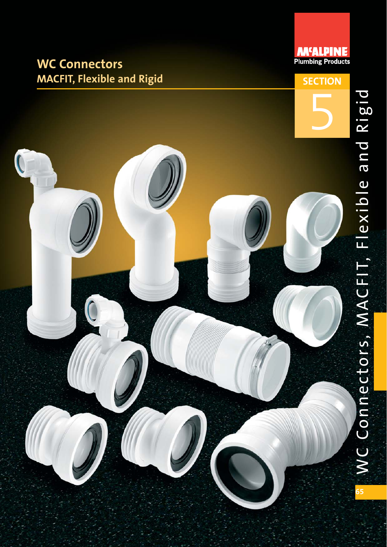# **MCALPINE**<br>Plumbing Products **WC Connectors MACFIT, Flexible and Rigid SECTION** 5 WC Connectors, MACFIT, Flexible and Rigid  $\overline{C}$ **65**

WC Connectors, MACFIT, Flexible and Rigid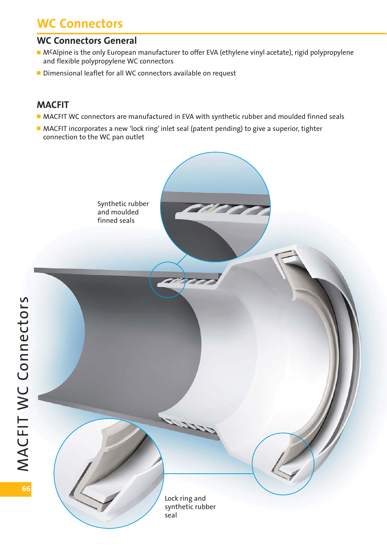# **WC Connectors**

#### **WC Connectors General**

- M<sup>C</sup>Alpine is the only European manufacturer to offer EVA (ethylene vinyl acetate), rigid polypropylene and flexible polypropylene WC connectors
- Dimensional leaflet for all WC connectors available on request

Synthetic rubber and moulded finned seals

## **MACFIT**

- MACFIT WC connectors are manufactured in EVA with synthetic rubber and moulded finned seals
- MACFIT incorporates a new 'lock ring' inlet seal (patent pending) to give a superior, tighter connection to the WC pan outlet

66

Lock ring and synthetic rubber seal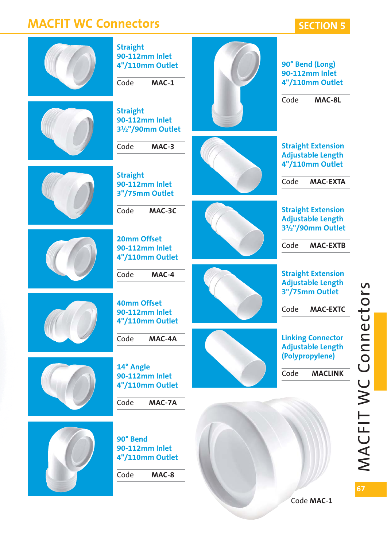## **MACFIT WC Connectors SECTION 5**

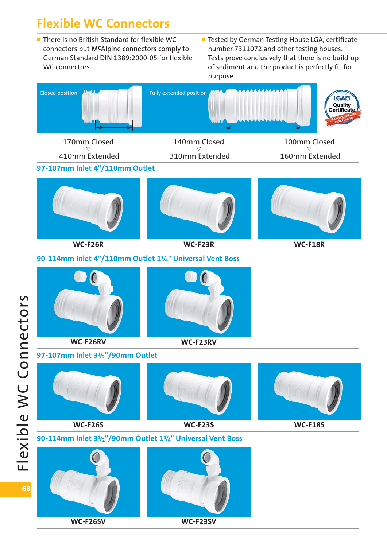# **Flexible WC Connectors**

- There is no British Standard for flexible WC connectors but McAlpine connectors comply to German Standard DIN 1389:2000-05 for flexible WC connectors
- Tested by German Testing House LGA, certificate number 7311072 and other testing houses. Tests prove conclusively that there is no build-up of sediment and the product is perfectly fit for purpose

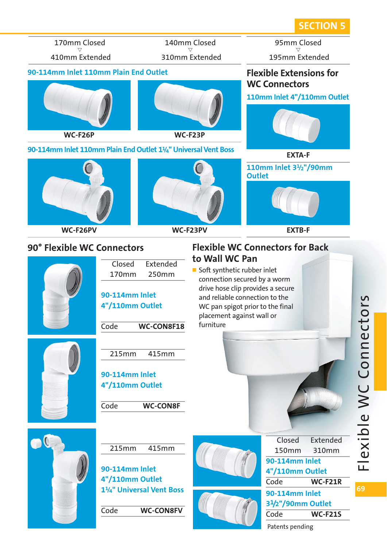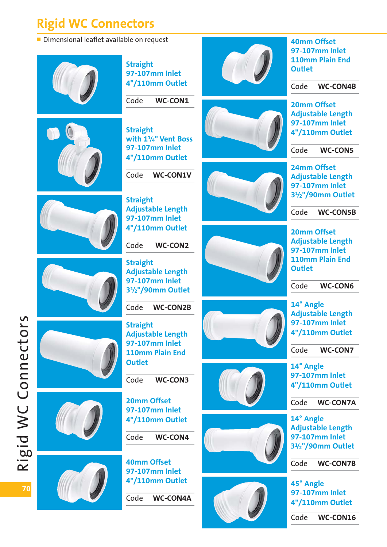# **Rigid WC Connectors**

■ Dimensional leaflet available on request







**Straight**

Code **WC-CON1**

**Straight with 1 1/4" Vent Boss 97-107mm Inlet 4"/110mm Outlet**

Code **WC-CON1V**

**Straight Adjustable Length 97-107mm Inlet 4"/110mm Outlet**

Code **WC-CON2**

**Straight Adjustable Length 97-107mm Inlet 31/2"/90mm Outlet**

Code **WC-CON2B**

**Straight Adjustable Length 97-107mm Inlet 110mm Plain End Outlet**

Code **WC-CON3**

**20mm Offset 97-107mm Inlet 4"/110mm Outlet**

Code **WC-CON4**

**40mm Offset 97-107mm Inlet 4"/110mm Outlet**

Code **WC-CON4A**



**40mm Offset 97-107mm Inlet 110mm Plain End Outlet**

Code **WC-CON4B**

**20mm Offset Adjustable Length 97-107mm Inlet 4"/110mm Outlet**

Code **WC-CON5**

**24mm Offset Adjustable Length 97-107mm Inlet 31/2"/90mm Outlet**

Code **WC-CON5B**



**20mm Offset Adjustable Length 97-107mm Inlet 110mm Plain End Outlet**

Code **WC-CON6**

**14° Angle Adjustable Length 97-107mm Inlet 4"/110mm Outlet**

Code **WC-CON7**

**14° Angle 97-107mm Inlet 4"/110mm Outlet**

Code **WC-CON7A**

**14° Angle Adjustable Length 97-107mm Inlet 31/2"/90mm Outlet**

Code **WC-CON7B**

**45° Angle 97-107mm Inlet 4"/110mm Outlet**

Code **WC-CON16**

Rigid WC Connectors **70**Rigid WC Connectors







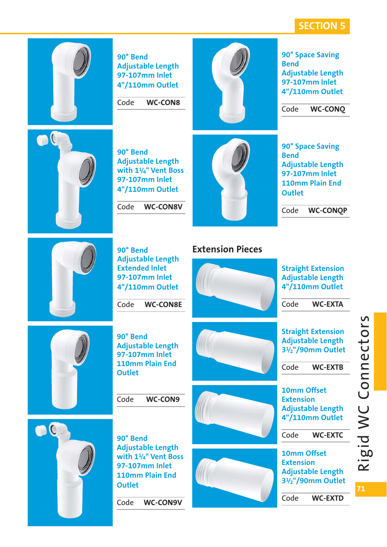#### **SECTION 5**



**90° Bend Adjustable Length 97-107mm Inlet 4"/110mm Outlet**

Code **WC-CON8**



**90° Space Saving Bend Adjustable Length 97-107mm Inlet 4"/110mm Outlet**

Code **WC-CONQ**



**90° Bend Adjustable Length with 11/4" Vent Boss 97-107mm Inlet 4"/110mm Outlet**

Code **WC-CON8V**



**Extension Pieces**

**90° Space Saving Bend Adjustable Length 97-107mm Inlet 110mm Plain End Outlet**

Code **WC-CONQP**

**Straight Extension Adjustable Length 4"/110mm Outlet**

Code **WC-EXTA**

**Straight Extension Adjustable Length 31/2"/90mm Outlet**

Code **WC-EXTB**



**90° Bend Adjustable Length Extended Inlet 97-107mm Inlet 4"/110mm Outlet**

Code **WC-CON8E**



 $\bullet$  C

**90° Bend Adjustable Length 97-107mm Inlet 110mm Plain End Outlet**

Code **WC-CON9**

**Adjustable Length with 11/4" Vent Boss 97-107mm Inlet 110mm Plain End**

Code **WC-CON9V**

**90° Bend**

**Outlet**



**10mm Offset Extension Adjustable Length 4"/110mm Outlet**

Code **WC-EXTC**

**10mm Offset Extension Adjustable Length 31/2"/90mm Outlet**

Code **WC-EXTD**